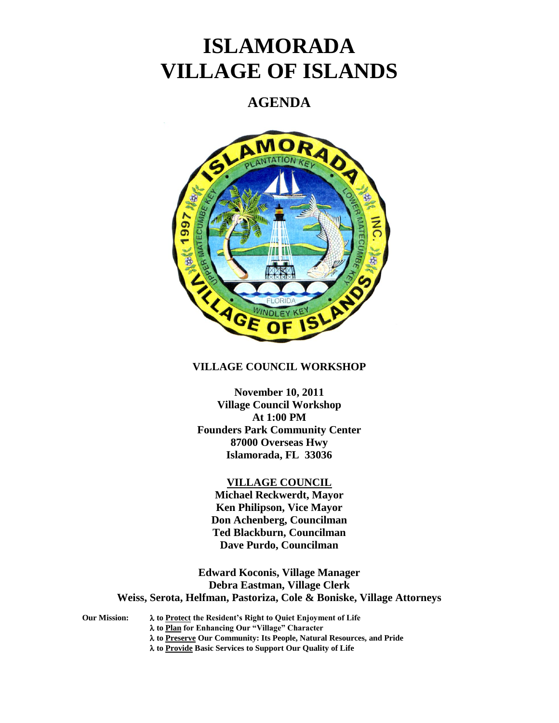# **ISLAMORADA VILLAGE OF ISLANDS**

## **AGENDA**



### **VILLAGE COUNCIL WORKSHOP**

**November 10, 2011 Village Council Workshop At 1:00 PM Founders Park Community Center 87000 Overseas Hwy Islamorada, FL 33036**

#### **VILLAGE COUNCIL**

**Michael Reckwerdt, Mayor Ken Philipson, Vice Mayor Don Achenberg, Councilman Ted Blackburn, Councilman Dave Purdo, Councilman**

**Edward Koconis, Village Manager Debra Eastman, Village Clerk Weiss, Serota, Helfman, Pastoriza, Cole & Boniske, Village Attorneys**

**Our Mission: to Protect the Resident's Right to Quiet Enjoyment of Life to Plan for Enhancing Our "Village" Character to Preserve Our Community: Its People, Natural Resources, and Pride to Provide Basic Services to Support Our Quality of Life**